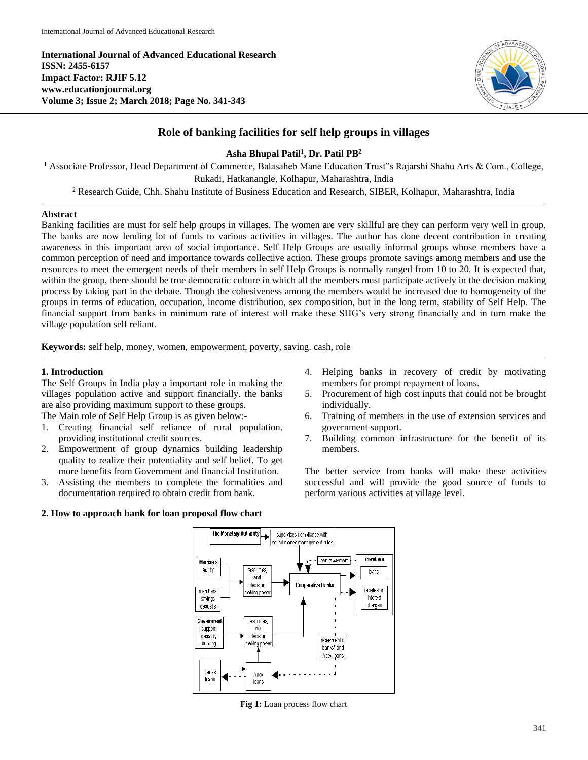**International Journal of Advanced Educational Research ISSN: 2455-6157 Impact Factor: RJIF 5.12 www.educationjournal.org Volume 3; Issue 2; March 2018; Page No. 341-343**



# **Role of banking facilities for self help groups in villages**

# **Asha Bhupal Patil<sup>1</sup> , Dr. Patil PB<sup>2</sup>**

<sup>1</sup> Associate Professor, Head Department of Commerce, Balasaheb Mane Education Trust<sup>\*</sup>s Rajarshi Shahu Arts & Com., College, Rukadi, Hatkanangle, Kolhapur, Maharashtra, India

<sup>2</sup> Research Guide, Chh. Shahu Institute of Business Education and Research, SIBER, Kolhapur, Maharashtra, India

# **Abstract**

Banking facilities are must for self help groups in villages. The women are very skillful are they can perform very well in group. The banks are now lending lot of funds to various activities in villages. The author has done decent contribution in creating awareness in this important area of social importance. Self Help Groups are usually informal groups whose members have a common perception of need and importance towards collective action. These groups promote savings among members and use the resources to meet the emergent needs of their members in self Help Groups is normally ranged from 10 to 20. It is expected that, within the group, there should be true democratic culture in which all the members must participate actively in the decision making process by taking part in the debate. Though the cohesiveness among the members would be increased due to homogeneity of the groups in terms of education, occupation, income distribution, sex composition, but in the long term, stability of Self Help. The financial support from banks in minimum rate of interest will make these SHG's very strong financially and in turn make the village population self reliant.

**Keywords:** self help, money, women, empowerment, poverty, saving. cash, role

# **1. Introduction**

The Self Groups in India play a important role in making the villages population active and support financially. the banks are also providing maximum support to these groups.

The Main role of Self Help Group is as given below:-

- 1. Creating financial self reliance of rural population. providing institutional credit sources.
- 2. Empowerment of group dynamics building leadership quality to realize their potentiality and self belief. To get more benefits from Government and financial Institution.
- 3. Assisting the members to complete the formalities and documentation required to obtain credit from bank.

# **2. How to approach bank for loan proposal flow chart**

- 4. Helping banks in recovery of credit by motivating members for prompt repayment of loans.
- 5. Procurement of high cost inputs that could not be brought individually.
- 6. Training of members in the use of extension services and government support.
- 7. Building common infrastructure for the benefit of its members.

The better service from banks will make these activities successful and will provide the good source of funds to perform various activities at village level.



**Fig 1:** Loan process flow chart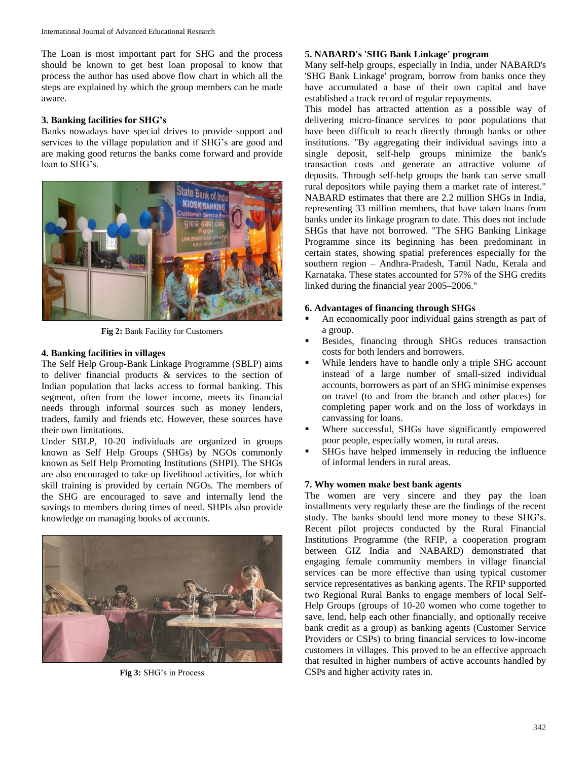The Loan is most important part for SHG and the process should be known to get best loan proposal to know that process the author has used above flow chart in which all the steps are explained by which the group members can be made aware.

### **3. Banking facilities for SHG's**

Banks nowadays have special drives to provide support and services to the village population and if SHG's are good and are making good returns the banks come forward and provide loan to SHG's.



**Fig 2:** Bank Facility for Customers

## **4. Banking facilities in villages**

The Self Help Group-Bank Linkage Programme (SBLP) aims to deliver financial products & services to the section of Indian population that lacks access to formal banking. This segment, often from the lower income, meets its financial needs through informal sources such as money lenders, traders, family and friends etc. However, these sources have their own limitations.

Under SBLP, 10-20 individuals are organized in groups known as Self Help Groups (SHGs) by NGOs commonly known as Self Help Promoting Institutions (SHPI). The SHGs are also encouraged to take up livelihood activities, for which skill training is provided by certain NGOs. The members of the SHG are encouraged to save and internally lend the savings to members during times of need. SHPIs also provide knowledge on managing books of accounts.



**Fig 3:** SHG's in Process

#### **5. NABARD's 'SHG Bank Linkage' program**

Many self-help groups, especially in India, under NABARD's 'SHG Bank Linkage' program, borrow from banks once they have accumulated a base of their own capital and have established a track record of regular repayments.

This model has attracted attention as a possible way of delivering micro-finance services to poor populations that have been difficult to reach directly through banks or other institutions. "By aggregating their individual savings into a single deposit, self-help groups minimize the bank's transaction costs and generate an attractive volume of deposits. Through self-help groups the bank can serve small rural depositors while paying them a market rate of interest." NABARD estimates that there are 2.2 million SHGs in India, representing 33 million members, that have taken loans from banks under its linkage program to date. This does not include SHGs that have not borrowed. "The SHG Banking Linkage Programme since its beginning has been predominant in certain states, showing spatial preferences especially for the southern region – Andhra-Pradesh, Tamil Nadu, Kerala and Karnataka. These states accounted for 57% of the SHG credits linked during the financial year 2005–2006."

#### **6. Advantages of financing through SHGs**

- An economically poor individual gains strength as part of a group.
- Besides, financing through SHGs reduces transaction costs for both lenders and borrowers.
- While lenders have to handle only a triple SHG account instead of a large number of small-sized individual accounts, borrowers as part of an SHG minimise expenses on travel (to and from the branch and other places) for completing paper work and on the loss of workdays in canvassing for loans.
- Where successful, SHGs have significantly empowered poor people, especially women, in rural areas.
- SHGs have helped immensely in reducing the influence of informal lenders in rural areas.

## **7. Why women make best bank agents**

The women are very sincere and they pay the loan installments very regularly these are the findings of the recent study. The banks should lend more money to these SHG's. Recent pilot projects conducted by the Rural Financial Institutions Programme (the RFIP, a cooperation program between GIZ India and NABARD) demonstrated that engaging female community members in village financial services can be more effective than using typical customer service representatives as banking agents. The RFIP supported two Regional Rural Banks to engage members of local Self-Help Groups (groups of 10-20 women who come together to save, lend, help each other financially, and optionally receive bank credit as a group) as banking agents (Customer Service Providers or CSPs) to bring financial services to low-income customers in villages. This proved to be an effective approach that resulted in higher numbers of active accounts handled by CSPs and higher activity rates in.